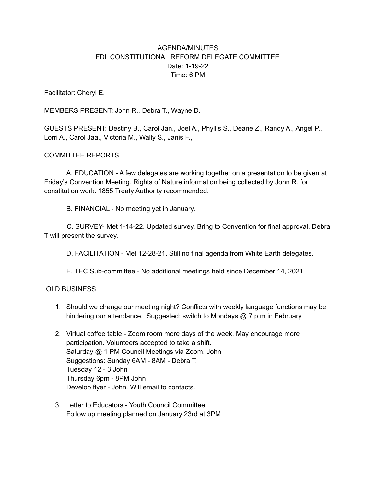## AGENDA/MINUTES FDL CONSTITUTIONAL REFORM DELEGATE COMMITTEE Date: 1-19-22 Time: 6 PM

Facilitator: Cheryl E.

MEMBERS PRESENT: John R., Debra T., Wayne D.

GUESTS PRESENT: Destiny B., Carol Jan., Joel A., Phyllis S., Deane Z., Randy A., Angel P., Lorri A., Carol Jaa., Victoria M., Wally S., Janis F.,

## COMMITTEE REPORTS

A. EDUCATION - A few delegates are working together on a presentation to be given at Friday's Convention Meeting. Rights of Nature information being collected by John R. for constitution work. 1855 Treaty Authority recommended.

B. FINANCIAL - No meeting yet in January.

C. SURVEY- Met 1-14-22. Updated survey. Bring to Convention for final approval. Debra T will present the survey.

D. FACILITATION - Met 12-28-21. Still no final agenda from White Earth delegates.

E. TEC Sub-committee - No additional meetings held since December 14, 2021

## OLD BUSINESS

- 1. Should we change our meeting night? Conflicts with weekly language functions may be hindering our attendance. Suggested: switch to Mondays @ 7 p.m in February
- 2. Virtual coffee table Zoom room more days of the week. May encourage more participation. Volunteers accepted to take a shift. Saturday @ 1 PM Council Meetings via Zoom. John Suggestions: Sunday 6AM - 8AM - Debra T. Tuesday 12 - 3 John Thursday 6pm - 8PM John Develop flyer - John. Will email to contacts.
- 3. Letter to Educators Youth Council Committee Follow up meeting planned on January 23rd at 3PM